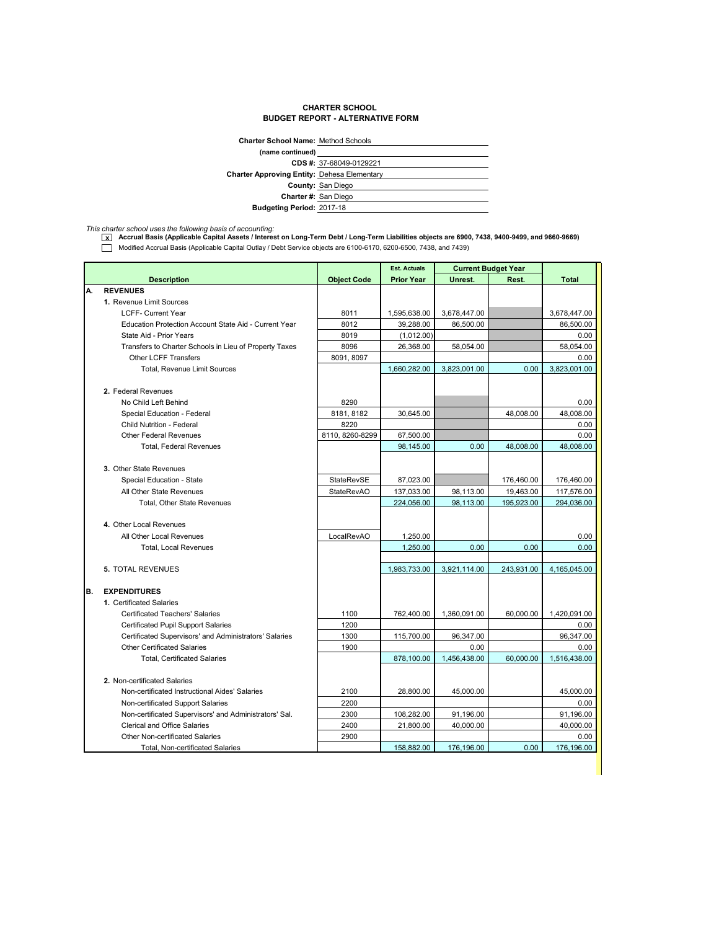## **CHARTER SCHOOL BUDGET REPORT - ALTERNATIVE FORM**

| <b>Charter School Name: Method Schools</b>         |                          |  |
|----------------------------------------------------|--------------------------|--|
| (name continued)                                   |                          |  |
|                                                    | CDS #: 37-68049-0129221  |  |
| <b>Charter Approving Entity: Dehesa Elementary</b> |                          |  |
|                                                    | <b>County: San Diego</b> |  |
| Charter #: San Diego                               |                          |  |
| Budgeting Period: 2017-18                          |                          |  |

*This charter school uses the following basis of accounting:* **x Accrual Basis (Applicable Capital Assets / Interest on Long-Term Debt / Long-Term Liabilities objects are 6900, 7438, 9400-9499, and 9660-9669)** Modified Accrual Basis (Applicable Capital Outlay / Debt Service objects are 6100-6170, 6200-6500, 7438, and 7439)

|    |                                                        |                    | <b>Est. Actuals</b> | <b>Current Budget Year</b> |            |              |
|----|--------------------------------------------------------|--------------------|---------------------|----------------------------|------------|--------------|
|    | <b>Description</b>                                     | <b>Object Code</b> | <b>Prior Year</b>   | Unrest.                    | Rest.      | <b>Total</b> |
| А. | <b>REVENUES</b>                                        |                    |                     |                            |            |              |
|    | 1. Revenue Limit Sources                               |                    |                     |                            |            |              |
|    | <b>LCFF- Current Year</b>                              | 8011               | 1,595,638.00        | 3,678,447.00               |            | 3,678,447.00 |
|    | Education Protection Account State Aid - Current Year  | 8012               | 39,288.00           | 86,500.00                  |            | 86,500.00    |
|    | State Aid - Prior Years                                | 8019               | (1,012.00)          |                            |            | 0.00         |
|    | Transfers to Charter Schools in Lieu of Property Taxes | 8096               | 26,368.00           | 58,054.00                  |            | 58,054.00    |
|    | <b>Other LCFF Transfers</b>                            | 8091, 8097         |                     |                            |            | 0.00         |
|    | Total, Revenue Limit Sources                           |                    | 1,660,282.00        | 3,823,001.00               | 0.00       | 3,823,001.00 |
|    |                                                        |                    |                     |                            |            |              |
|    | 2. Federal Revenues                                    |                    |                     |                            |            |              |
|    | No Child Left Behind                                   | 8290               |                     |                            |            | 0.00         |
|    | Special Education - Federal                            | 8181, 8182         | 30,645.00           |                            | 48.008.00  | 48,008.00    |
|    | <b>Child Nutrition - Federal</b>                       | 8220               |                     |                            |            | 0.00         |
|    | <b>Other Federal Revenues</b>                          | 8110, 8260-8299    | 67,500.00           |                            |            | 0.00         |
|    | <b>Total, Federal Revenues</b>                         |                    | 98,145.00           | 0.00                       | 48,008.00  | 48,008.00    |
|    |                                                        |                    |                     |                            |            |              |
|    | 3. Other State Revenues                                |                    |                     |                            |            |              |
|    | Special Education - State                              | StateRevSE         | 87,023.00           |                            | 176,460.00 | 176,460.00   |
|    | All Other State Revenues                               | <b>StateRevAO</b>  | 137,033.00          | 98,113.00                  | 19,463.00  | 117,576.00   |
|    | Total, Other State Revenues                            |                    | 224,056.00          | 98,113.00                  | 195,923.00 | 294,036.00   |
|    |                                                        |                    |                     |                            |            |              |
|    | 4. Other Local Revenues                                |                    |                     |                            |            |              |
|    | All Other Local Revenues                               | LocalRevAO         | 1,250.00            |                            |            | 0.00         |
|    | <b>Total, Local Revenues</b>                           |                    | 1,250.00            | 0.00                       | 0.00       | 0.00         |
|    |                                                        |                    |                     |                            |            |              |
|    | <b>5. TOTAL REVENUES</b>                               |                    | 1,983,733.00        | 3,921,114.00               | 243,931.00 | 4,165,045.00 |
|    |                                                        |                    |                     |                            |            |              |
| В. | <b>EXPENDITURES</b>                                    |                    |                     |                            |            |              |
|    | 1. Certificated Salaries                               |                    |                     |                            |            |              |
|    | <b>Certificated Teachers' Salaries</b>                 | 1100               | 762,400.00          | 1,360,091.00               | 60,000.00  | 1,420,091.00 |
|    | <b>Certificated Pupil Support Salaries</b>             | 1200               |                     |                            |            | 0.00         |
|    | Certificated Supervisors' and Administrators' Salaries | 1300               | 115,700.00          | 96,347.00                  |            | 96,347.00    |
|    | <b>Other Certificated Salaries</b>                     | 1900               |                     | 0.00                       |            | 0.00         |
|    | <b>Total, Certificated Salaries</b>                    |                    | 878,100.00          | 1,456,438.00               | 60.000.00  | 1,516,438.00 |
|    |                                                        |                    |                     |                            |            |              |
|    | 2. Non-certificated Salaries                           |                    |                     |                            |            |              |
|    | Non-certificated Instructional Aides' Salaries         | 2100               | 28,800.00           | 45,000.00                  |            | 45.000.00    |
|    | Non-certificated Support Salaries                      | 2200               |                     |                            |            | 0.00         |
|    | Non-certificated Supervisors' and Administrators' Sal. | 2300               | 108,282.00          | 91,196.00                  |            | 91,196.00    |
|    | <b>Clerical and Office Salaries</b>                    | 2400               | 21,800.00           | 40,000.00                  |            | 40,000.00    |
|    | <b>Other Non-certificated Salaries</b>                 | 2900               |                     |                            |            | 0.00         |
|    | Total, Non-certificated Salaries                       |                    | 158,882.00          | 176,196.00                 | 0.00       | 176,196.00   |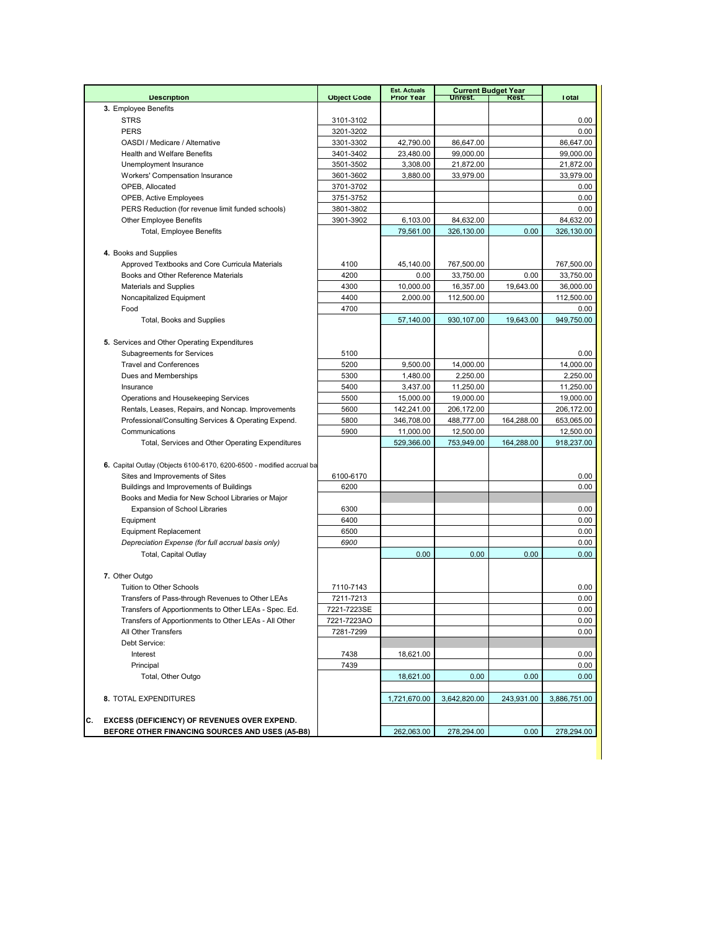|                                                                       |                    | <b>Est. Actuals</b> |                        | <b>Current Budget Year</b> |                   |
|-----------------------------------------------------------------------|--------------------|---------------------|------------------------|----------------------------|-------------------|
| <b>Description</b>                                                    | <b>Object Code</b> | <b>Prior Year</b>   | Unrest.                | Rest.                      | <b>Total</b>      |
| 3. Employee Benefits                                                  |                    |                     |                        |                            |                   |
| <b>STRS</b><br><b>PERS</b>                                            | 3101-3102          |                     |                        |                            | 0.00              |
|                                                                       | 3201-3202          |                     |                        |                            | 0.00              |
| OASDI / Medicare / Alternative<br><b>Health and Welfare Benefits</b>  | 3301-3302          | 42,790.00           | 86,647.00              |                            | 86,647.00         |
|                                                                       | 3401-3402          | 23,480.00           | 99,000.00<br>21,872.00 |                            | 99,000.00         |
| Unemployment Insurance                                                | 3501-3502          | 3,308.00            |                        |                            | 21,872.00         |
| Workers' Compensation Insurance                                       | 3601-3602          | 3,880.00            | 33,979.00              |                            | 33,979.00         |
| OPEB, Allocated                                                       | 3701-3702          |                     |                        |                            | 0.00              |
| <b>OPEB, Active Employees</b>                                         | 3751-3752          |                     |                        |                            | 0.00              |
| PERS Reduction (for revenue limit funded schools)                     | 3801-3802          |                     |                        |                            | 0.00              |
| <b>Other Employee Benefits</b>                                        | 3901-3902          | 6,103.00            | 84,632.00              |                            | 84.632.00         |
| Total, Employee Benefits                                              |                    | 79,561.00           | 326,130.00             | 0.00                       | 326,130.00        |
|                                                                       |                    |                     |                        |                            |                   |
| 4. Books and Supplies                                                 |                    |                     |                        |                            |                   |
| Approved Textbooks and Core Curricula Materials                       | 4100               | 45,140.00           | 767,500.00             |                            | 767,500.00        |
| Books and Other Reference Materials                                   | 4200               | 0.00                | 33,750.00              | 0.00                       | 33,750.00         |
| <b>Materials and Supplies</b>                                         | 4300               | 10,000.00           | 16,357.00              | 19,643.00                  | 36,000.00         |
| Noncapitalized Equipment                                              | 4400               | 2,000.00            | 112,500.00             |                            | 112,500.00        |
| Food                                                                  | 4700               |                     |                        |                            | $0.00\,$          |
| Total, Books and Supplies                                             |                    | 57,140.00           | 930,107.00             | 19,643.00                  | 949,750.00        |
|                                                                       |                    |                     |                        |                            |                   |
| 5. Services and Other Operating Expenditures                          |                    |                     |                        |                            |                   |
| Subagreements for Services                                            | 5100               |                     |                        |                            | 0.00              |
| <b>Travel and Conferences</b>                                         | 5200               | 9.500.00            | 14,000.00              |                            | 14,000.00         |
| Dues and Memberships                                                  | 5300               | 1.480.00            | 2,250.00               |                            | 2,250.00          |
| Insurance                                                             | 5400               | 3,437.00            | 11,250.00              |                            | 11,250.00         |
| Operations and Housekeeping Services                                  | 5500               | 15,000.00           | 19,000.00              |                            | 19,000.00         |
| Rentals, Leases, Repairs, and Noncap. Improvements                    | 5600               | 142,241.00          | 206,172.00             |                            | 206,172.00        |
| Professional/Consulting Services & Operating Expend.                  | 5800               | 346,708.00          | 488,777.00             | 164,288.00                 | 653,065.00        |
| Communications                                                        | 5900               | 11,000.00           | 12,500.00              |                            | 12,500.00         |
| Total, Services and Other Operating Expenditures                      |                    | 529,366.00          | 753,949.00             | 164,288.00                 | 918,237.00        |
|                                                                       |                    |                     |                        |                            |                   |
| 6. Capital Outlay (Objects 6100-6170, 6200-6500 - modified accrual ba |                    |                     |                        |                            |                   |
| Sites and Improvements of Sites                                       | 6100-6170          |                     |                        |                            | 0.00              |
| Buildings and Improvements of Buildings                               | 6200               |                     |                        |                            | 0.00              |
| Books and Media for New School Libraries or Major                     |                    |                     |                        |                            |                   |
| <b>Expansion of School Libraries</b>                                  | 6300               |                     |                        |                            | 0.00              |
| Equipment                                                             | 6400               |                     |                        |                            | 0.00              |
| <b>Equipment Replacement</b>                                          | 6500               |                     |                        |                            | 0.00              |
| Depreciation Expense (for full accrual basis only)                    | 6900               |                     |                        |                            | 0.00              |
| Total, Capital Outlay                                                 |                    | 0.00                | 0.00                   | 0.00                       | 0.00              |
|                                                                       |                    |                     |                        |                            |                   |
| 7. Other Outgo                                                        |                    |                     |                        |                            |                   |
| Tuition to Other Schools                                              | 7110-7143          |                     |                        |                            | 0.00              |
| Transfers of Pass-through Revenues to Other LEAs                      | 7211-7213          |                     |                        |                            | 0.00              |
| Transfers of Apportionments to Other LEAs - Spec. Ed.                 | 7221-7223SE        |                     |                        |                            | 0.00              |
| Transfers of Apportionments to Other LEAs - All Other                 | 7221-7223AO        |                     |                        |                            | 0.00              |
| All Other Transfers                                                   | 7281-7299          |                     |                        |                            | 0.00              |
| Debt Service:                                                         |                    |                     |                        |                            |                   |
| Interest                                                              | 7438               | 18,621.00           |                        |                            | 0.00              |
| Principal                                                             | 7439               |                     |                        |                            | 0.00              |
| Total, Other Outgo                                                    |                    | 18,621.00           | 0.00                   | 0.00                       | 0.00 <sub>1</sub> |
|                                                                       |                    |                     |                        |                            |                   |
| 8. TOTAL EXPENDITURES                                                 |                    | 1,721,670.00        | 3,642,820.00           | 243,931.00                 | 3,886,751.00      |
|                                                                       |                    |                     |                        |                            |                   |
| С.<br><b>EXCESS (DEFICIENCY) OF REVENUES OVER EXPEND.</b>             |                    |                     |                        |                            |                   |
| BEFORE OTHER FINANCING SOURCES AND USES (A5-B8)                       |                    | 262,063.00          | 278,294.00             | 0.00                       | 278,294.00        |
|                                                                       |                    |                     |                        |                            |                   |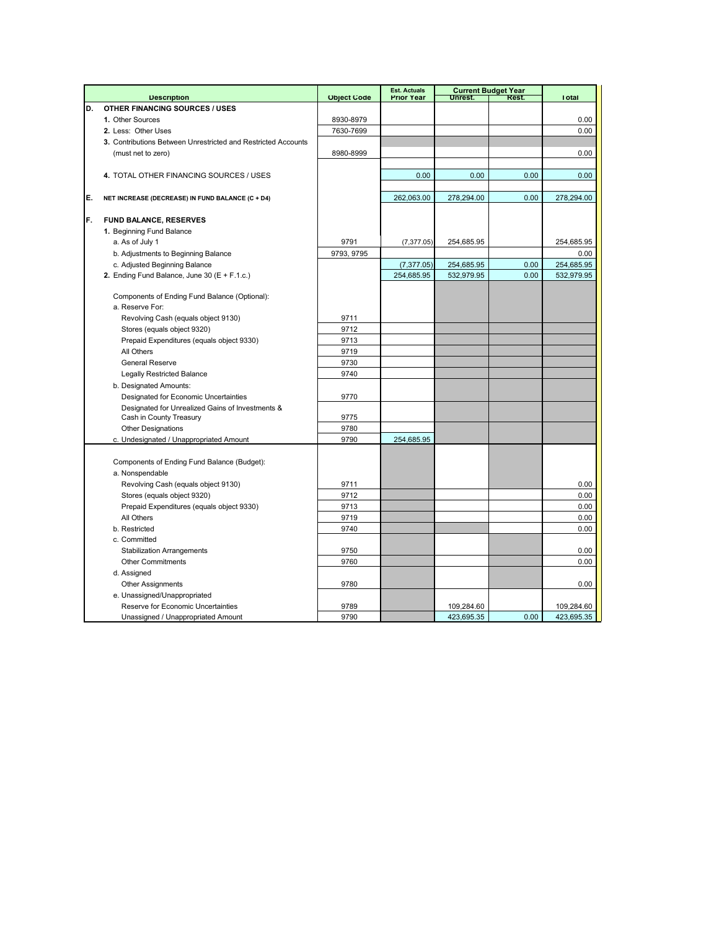|    |                                                                  |                    | <b>Est. Actuals</b> |            | <b>Current Budget Year</b> |              |
|----|------------------------------------------------------------------|--------------------|---------------------|------------|----------------------------|--------------|
|    | <b>Description</b>                                               | <b>Object Code</b> | <b>Prior Year</b>   | Unrest.    | Rest.                      | <b>Total</b> |
| D. | <b>OTHER FINANCING SOURCES / USES</b>                            |                    |                     |            |                            |              |
|    | 1. Other Sources                                                 | 8930-8979          |                     |            |                            | 0.00         |
|    | 2. Less: Other Uses                                              | 7630-7699          |                     |            |                            | 0.00         |
|    | 3. Contributions Between Unrestricted and Restricted Accounts    |                    |                     |            |                            |              |
|    | (must net to zero)                                               | 8980-8999          |                     |            |                            | 0.00         |
|    |                                                                  |                    |                     |            |                            |              |
|    | 4. TOTAL OTHER FINANCING SOURCES / USES                          |                    | 0.00                | 0.00       | 0.00                       | 0.00         |
|    |                                                                  |                    |                     |            |                            |              |
| E. | NET INCREASE (DECREASE) IN FUND BALANCE (C + D4)                 |                    | 262,063.00          | 278,294.00 | 0.00                       | 278,294.00   |
|    |                                                                  |                    |                     |            |                            |              |
| F. | <b>FUND BALANCE, RESERVES</b>                                    |                    |                     |            |                            |              |
|    | 1. Beginning Fund Balance                                        |                    |                     |            |                            |              |
|    | a. As of July 1                                                  | 9791               | (7, 377.05)         | 254,685.95 |                            | 254,685.95   |
|    | b. Adjustments to Beginning Balance                              | 9793, 9795         |                     |            |                            | 0.00         |
|    | c. Adjusted Beginning Balance                                    |                    | (7, 377.05)         | 254,685.95 | 0.00                       | 254,685.95   |
|    | 2. Ending Fund Balance, June 30 $(E + F.1.c.)$                   |                    | 254,685.95          | 532,979.95 | 0.00                       | 532,979.95   |
|    |                                                                  |                    |                     |            |                            |              |
|    | Components of Ending Fund Balance (Optional):<br>a. Reserve For: |                    |                     |            |                            |              |
|    |                                                                  |                    |                     |            |                            |              |
|    | Revolving Cash (equals object 9130)                              | 9711               |                     |            |                            |              |
|    | Stores (equals object 9320)                                      | 9712               |                     |            |                            |              |
|    | Prepaid Expenditures (equals object 9330)                        | 9713               |                     |            |                            |              |
|    | All Others                                                       | 9719               |                     |            |                            |              |
|    | <b>General Reserve</b>                                           | 9730               |                     |            |                            |              |
|    | <b>Legally Restricted Balance</b>                                | 9740               |                     |            |                            |              |
|    | b. Designated Amounts:                                           |                    |                     |            |                            |              |
|    | Designated for Economic Uncertainties                            | 9770               |                     |            |                            |              |
|    | Designated for Unrealized Gains of Investments &                 |                    |                     |            |                            |              |
|    | Cash in County Treasury                                          | 9775               |                     |            |                            |              |
|    | <b>Other Designations</b>                                        | 9780               |                     |            |                            |              |
|    | c. Undesignated / Unappropriated Amount                          | 9790               | 254,685.95          |            |                            |              |
|    |                                                                  |                    |                     |            |                            |              |
|    | Components of Ending Fund Balance (Budget):                      |                    |                     |            |                            |              |
|    | a. Nonspendable                                                  |                    |                     |            |                            |              |
|    | Revolving Cash (equals object 9130)                              | 9711               |                     |            |                            | 0.00         |
|    | Stores (equals object 9320)                                      | 9712               |                     |            |                            | 0.00         |
|    | Prepaid Expenditures (equals object 9330)                        | 9713               |                     |            |                            | 0.00         |
|    | All Others                                                       | 9719               |                     |            |                            | 0.00         |
|    | b. Restricted                                                    | 9740               |                     |            |                            | 0.00         |
|    | c. Committed                                                     |                    |                     |            |                            |              |
|    | <b>Stabilization Arrangements</b>                                | 9750               |                     |            |                            | 0.00         |
|    | <b>Other Commitments</b>                                         | 9760               |                     |            |                            | 0.00         |
|    | d. Assigned                                                      |                    |                     |            |                            |              |
|    | <b>Other Assignments</b>                                         | 9780               |                     |            |                            | 0.00         |
|    | e. Unassigned/Unappropriated                                     |                    |                     |            |                            |              |
|    | Reserve for Economic Uncertainties                               | 9789               |                     | 109,284.60 |                            | 109,284.60   |
|    | Unassigned / Unappropriated Amount                               | 9790               |                     | 423,695.35 | 0.00                       | 423,695.35   |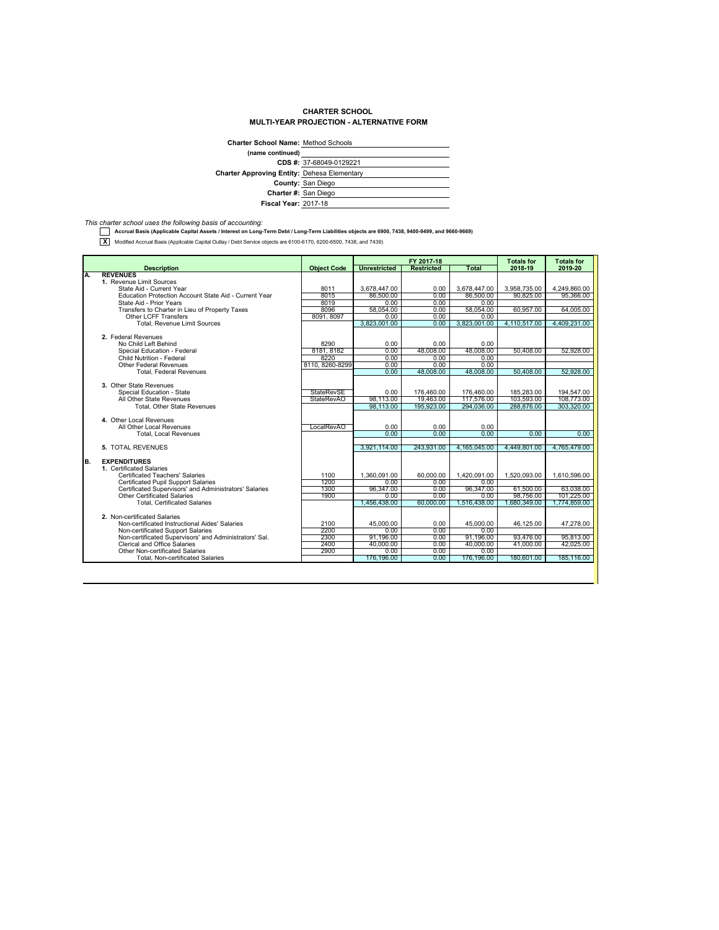## **CHARTER SCHOOL MULTI-YEAR PROJECTION - ALTERNATIVE FORM**

| <b>Charter School Name: Method Schools</b>         |                         |  |  |
|----------------------------------------------------|-------------------------|--|--|
| (name continued)                                   |                         |  |  |
|                                                    | CDS #: 37-68049-0129221 |  |  |
| <b>Charter Approving Entity: Dehesa Elementary</b> |                         |  |  |
|                                                    | County: San Diego       |  |  |
|                                                    | Charter #: San Diego    |  |  |
| <b>Fiscal Year: 2017-18</b>                        |                         |  |  |
|                                                    |                         |  |  |

*This charter school uses the following basis of accounting:*  **Accrual Basis (Applicable Capital Assets / Interest on Long-Term Debt / Long-Term Liabilities objects are 6900, 7438, 9400-9499, and 9660-9669)**

**X** Modified Accrual Basis (Applicable Capital Outlay / Debt Service objects are 6100-6170, 6200-6500, 7438, and 7439)

|                                                                        |                    | FY 2017-18          |                   | <b>Totals for</b> | <b>Totals for</b>      |              |
|------------------------------------------------------------------------|--------------------|---------------------|-------------------|-------------------|------------------------|--------------|
| <b>Description</b>                                                     | <b>Object Code</b> | <b>Unrestricted</b> | <b>Restricted</b> | Total             | 2018-19                | 2019-20      |
| <b>REVENUES</b><br>Α.                                                  |                    |                     |                   |                   |                        |              |
| 1. Revenue Limit Sources                                               |                    |                     |                   |                   |                        |              |
| State Aid - Current Year                                               | 8011               | 3.678.447.00        | 0.00              | 3.678.447.00      | 3.958.735.00           | 4.249.860.00 |
| Education Protection Account State Aid - Current Year                  | 8015               | 86,500.00           | 0.00              | 86,500.00         | 90.825.00              | 95.366.00    |
| State Aid - Prior Years                                                | 8019               | 0.00                | 0.00              | 0.00              |                        |              |
| Transfers to Charter in Lieu of Property Taxes                         | 8096               | 58.054.00           | 0.00              | 58.054.00         | 60.957.00              | 64.005.00    |
| <b>Other LCFF Transfers</b>                                            | 8091, 8097         | 0.00                | 0.00              | 0.00              |                        |              |
| Total, Revenue Limit Sources                                           |                    | 3,823,001.00        | 0.00              | 3,823,001.00      | 4,110,517.00           | 4,409,231.00 |
|                                                                        |                    |                     |                   |                   |                        |              |
| 2. Federal Revenues                                                    |                    |                     |                   |                   |                        |              |
| No Child Left Behind                                                   | 8290               | 0.00                | 0.00              | 0.00              |                        |              |
| Special Education - Federal                                            | 8181, 8182         | 0.00                | 48.008.00         | 48.008.00         | 50,408.00              | 52,928.00    |
| Child Nutrition - Federal                                              | 8220               | 0.00                | 0.00              | 0.00              |                        |              |
| <b>Other Federal Revenues</b>                                          | 8110, 8260-8299    | 0.00                | 0.00              | 0.00              |                        |              |
| <b>Total, Federal Revenues</b>                                         |                    | 0.00                | 48.008.00         | 48.008.00         | 50,408.00              | 52.928.00    |
|                                                                        |                    |                     |                   |                   |                        |              |
| 3. Other State Revenues                                                |                    |                     |                   |                   |                        |              |
| Special Education - State                                              | <b>StateRevSE</b>  | 0.00                | 176,460.00        | 176,460.00        | 185,283.00             | 194,547.00   |
| All Other State Revenues                                               | StateRevAO         | 98.113.00           | 19.463.00         | 117.576.00        | 103.593.00             | 108,773.00   |
| <b>Total, Other State Revenues</b>                                     |                    | 98.113.00           | 195.923.00        | 294,036.00        | 288.876.00             | 303.320.00   |
|                                                                        |                    |                     |                   |                   |                        |              |
| 4. Other Local Revenues                                                |                    |                     |                   |                   |                        |              |
| All Other Local Revenues                                               | LocalRevAO         | 0.00                | 0.00              | 0.00              |                        |              |
| <b>Total, Local Revenues</b>                                           |                    | 0.00                | 0.00              | 0.00              | 0.00                   | 0.00         |
|                                                                        |                    |                     |                   |                   |                        |              |
| 5. TOTAL REVENUES                                                      |                    | 3.921.114.00        | 243.931.00        | 4.165.045.00      | 4.449.801.00           | 4.765.479.00 |
|                                                                        |                    |                     |                   |                   |                        |              |
| B.<br><b>EXPENDITURES</b>                                              |                    |                     |                   |                   |                        |              |
| 1. Certificated Salaries                                               |                    |                     |                   |                   |                        |              |
| Certificated Teachers' Salaries                                        | 1100<br>1200       | 1.360.091.00        | 60.000.00         | 1,420,091.00      | 1.520.093.00           | 1,610,596.00 |
| <b>Certificated Pupil Support Salaries</b>                             |                    | 0.00                | 0.00              | 0.00              |                        |              |
| Certificated Supervisors' and Administrators' Salaries                 | 1300<br>1900       | 96,347.00           | 0.00              | 96,347.00         | 61,500.00<br>98,756.00 | 63,038.00    |
| <b>Other Certificated Salaries</b>                                     |                    | 0.00                | 0.00              | 0.00              |                        | 101,225.00   |
| <b>Total, Certificated Salaries</b>                                    |                    | 1.456.438.00        | 60,000.00         | 1.516.438.00      | 1.680.349.00           | 1.774.859.00 |
| 2. Non-certificated Salaries                                           |                    |                     |                   |                   |                        |              |
| Non-certificated Instructional Aides' Salaries                         | 2100               |                     | 0.00              |                   | 46.125.00              |              |
|                                                                        | 2200               | 45,000.00           |                   | 45,000.00         |                        | 47,278.00    |
| Non-certificated Support Salaries                                      |                    | 0.00                | 0.00              | 0.00              |                        |              |
| Non-certificated Supervisors' and Administrators' Sal.                 | 2300               | 91.196.00           | 0.00              | 91.196.00         | 93.476.00              | 95,813.00    |
| <b>Clerical and Office Salaries</b><br>Other Non-certificated Salaries | 2400               | 40.000.00           | 0.00              | 40.000.00         | 41.000.00              | 42.025.00    |
|                                                                        | 2900               | 0.00                | 0.00              | 0.00              |                        |              |
| <b>Total, Non-certificated Salaries</b>                                |                    | 176,196.00          | 0.00              | 176,196.00        | 180,601.00             | 185,116.00   |
|                                                                        |                    |                     |                   |                   |                        |              |
|                                                                        |                    |                     |                   |                   |                        |              |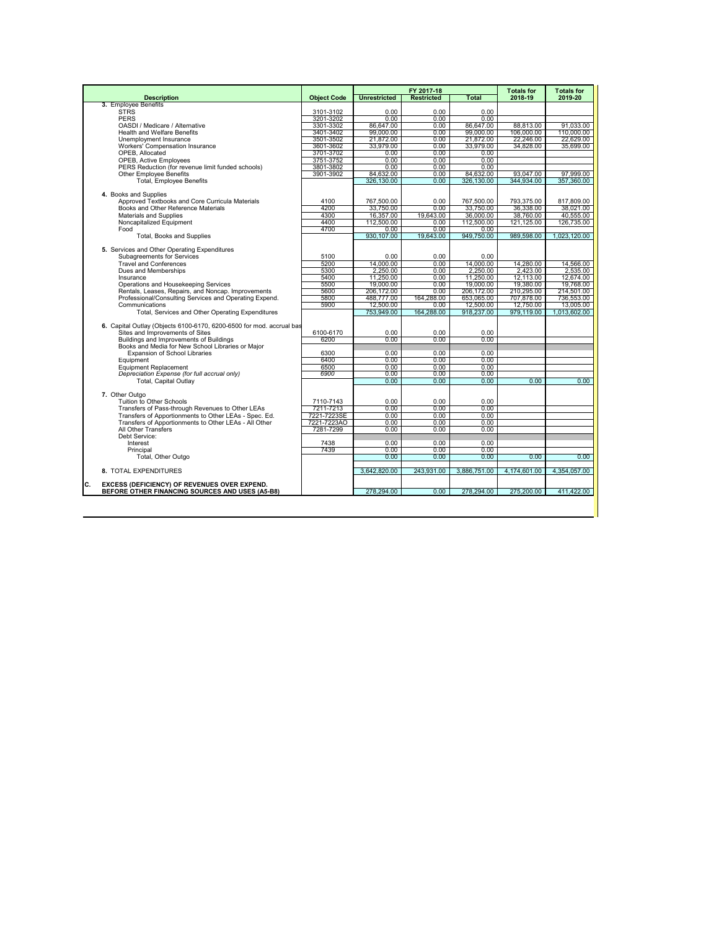|                                                                                                              |                        |                         | FY 2017-18        |                        | <b>Totals for</b>      | <b>Totals for</b>      |
|--------------------------------------------------------------------------------------------------------------|------------------------|-------------------------|-------------------|------------------------|------------------------|------------------------|
| <b>Description</b>                                                                                           | <b>Object Code</b>     | <b>Unrestricted</b>     | <b>Restricted</b> | Total                  | 2018-19                | 2019-20                |
| 3. Employee Benefits                                                                                         |                        |                         |                   |                        |                        |                        |
| <b>STRS</b><br><b>PERS</b>                                                                                   | 3101-3102              | 0.00<br>0.00            | $0.00 -$<br>0.00  | $0.00 -$<br>0.00       |                        |                        |
| OASDI / Medicare / Alternative                                                                               | 3201-3202<br>3301-3302 | 86.647.00               | 0.00              | 86.647.00              | 88.813.00              | 91,033.00              |
| <b>Health and Welfare Benefits</b>                                                                           | 3401-3402              | 99.000.00               | 0.00              | 99.000.00              | 106,000.00             | 110,000.00             |
| Unemployment Insurance                                                                                       | 3501-3502              | 21,872.00               | 0.00              | 21,872.00              | 22.246.00              | 22.629.00              |
| Workers' Compensation Insurance                                                                              | 3601-3602              | 33.979.00               | 0.00              | 33.979.00              | 34.828.00              | 35,699.00              |
| OPEB. Allocated                                                                                              | 3701-3702              | 0.00                    | 0.00              | 0.00                   |                        |                        |
| <b>OPEB, Active Employees</b>                                                                                | 3751-3752              | 0.00                    | 0.00              | 0.00                   |                        |                        |
| PERS Reduction (for revenue limit funded schools)                                                            | 3801-3802              | 0.00                    | 0.00              | 0.00                   |                        |                        |
| <b>Other Employee Benefits</b>                                                                               | 3901-3902              | 84,632.00               | 0.00              | 84.632.00              | 93.047.00              | 97,999.00              |
| <b>Total, Employee Benefits</b>                                                                              |                        | 326,130.00              | 0.00              | 326,130.00             | 344.934.00             | 357,360.00             |
|                                                                                                              |                        |                         |                   |                        |                        |                        |
| 4. Books and Supplies                                                                                        |                        |                         |                   |                        |                        |                        |
| Approved Textbooks and Core Curricula Materials                                                              | 4100<br>4200           | 767.500.00              | 0.00<br>0.00      | 767,500.00             | 793.375.00             | 817,809.00             |
| Books and Other Reference Materials<br>Materials and Supplies                                                | 4300                   | 33.750.00<br>16,357.00  | 19.643.00         | 33,750.00<br>36,000.00 | 36.338.00<br>38.760.00 | 38.021.00<br>40.555.00 |
| Noncapitalized Equipment                                                                                     | 4400                   | 112,500.00              | 0.00              | 112,500.00             | 121,125.00             | 126,735.00             |
| Food                                                                                                         | 4700                   | 0.00                    | 0.00              | 0.00                   |                        |                        |
| Total, Books and Supplies                                                                                    |                        | 930.107.00              | 19.643.00         | 949.750.00             | 989.598.00             | 1.023.120.00           |
|                                                                                                              |                        |                         |                   |                        |                        |                        |
| 5. Services and Other Operating Expenditures                                                                 |                        |                         |                   |                        |                        |                        |
| Subagreements for Services                                                                                   | 5100                   | 0.00                    | 0.00              | 0.00                   |                        |                        |
| <b>Travel and Conferences</b>                                                                                | 5200                   | 14.000.00               | $0.00 -$          | 14.000.00              | 14.280.00              | 14.566.00              |
| Dues and Memberships                                                                                         | 5300                   | 2.250.00                | 0.00              | 2.250.00               | 2.423.00               | 2.535.00               |
| Insurance                                                                                                    | 5400                   | 11,250.00               | 0.00              | 11,250.00              | 12.113.00              | 12,674.00              |
| Operations and Housekeeping Services                                                                         | 5500                   | 19,000.00               | 0.00              | 19.000.00              | 19,380.00              | 19,768.00              |
| Rentals, Leases, Repairs, and Noncap. Improvements                                                           | 5600                   | 206,172.00              | 0.00              | 206,172.00             | 210,295.00             | 214,501.00             |
| Professional/Consulting Services and Operating Expend.                                                       | 5800                   | 488,777.00              | 164.288.00        | 653,065.00             | 707,878.00             | 736,553.00             |
| Communications                                                                                               | 5900                   | 12,500.00<br>753,949.00 | $0.00 -$          | 12,500.00              | 12.750.00              | 13,005.00              |
| Total, Services and Other Operating Expenditures                                                             |                        |                         | 164,288.00        | 918,237.00             | 979,119.00             | 1,013,602.00           |
| 6. Capital Outlay (Objects 6100-6170, 6200-6500 for mod, accrual bas                                         |                        |                         |                   |                        |                        |                        |
| Sites and Improvements of Sites                                                                              | 6100-6170              | 0.00                    | 0.00              | 0.00                   |                        |                        |
| Buildings and Improvements of Buildings                                                                      | 6200                   | 0.00                    | 0.00              | 0.00                   |                        |                        |
| Books and Media for New School Libraries or Maior                                                            |                        |                         |                   |                        |                        |                        |
| <b>Expansion of School Libraries</b>                                                                         | 6300                   | 0.00                    | 0.00              | 0.00                   |                        |                        |
| Equipment                                                                                                    | 6400                   | 0.00                    | 0.00              | 0.00                   |                        |                        |
| <b>Equipment Replacement</b>                                                                                 | 6500                   | 0.00                    | 0.00              | 0.00                   |                        |                        |
| Depreciation Expense (for full accrual only)                                                                 | 6900                   | 0.00                    | 0.00              | 0.00                   |                        |                        |
| <b>Total, Capital Outlav</b>                                                                                 |                        | 0.00                    | 0.00              | 0.00                   | 0.00                   | 0.00                   |
|                                                                                                              |                        |                         |                   |                        |                        |                        |
| 7. Other Outgo<br>Tuition to Other Schools                                                                   |                        | 0.00                    | 0.00              | 0.00                   |                        |                        |
| Transfers of Pass-through Revenues to Other LEAs                                                             | 7110-7143<br>7211-7213 | 0.00                    | 0.00              | 0.00                   |                        |                        |
| Transfers of Apportionments to Other LEAs - Spec. Ed.                                                        | 7221-7223SE            | 0.00                    | 0.00              | 0.00                   |                        |                        |
| Transfers of Apportionments to Other LEAs - All Other                                                        | 7221-7223AO            | 0.00                    | 0.00              | 0.00                   |                        |                        |
| All Other Transfers                                                                                          | 7281-7299              | 0.00                    | 0.00              | 0.00                   |                        |                        |
| Debt Service:                                                                                                |                        |                         |                   |                        |                        |                        |
| Interest                                                                                                     | 7438                   | 0.00                    | 0.00              | 0.00                   |                        |                        |
| Principal                                                                                                    | 7439                   | 0.00                    | 0.00              | 0.00                   |                        |                        |
| Total, Other Outgo                                                                                           |                        | 0.00                    | 0.00              | 0.00                   | 0.00                   | 0.00                   |
|                                                                                                              |                        |                         |                   |                        |                        |                        |
| 8. TOTAL EXPENDITURES                                                                                        |                        | 3.642.820.00            | 243.931.00        | 3,886,751.00           | 4.174.601.00           | 4.354.057.00           |
|                                                                                                              |                        |                         |                   |                        |                        |                        |
| c.<br><b>EXCESS (DEFICIENCY) OF REVENUES OVER EXPEND.</b><br>BEFORE OTHER FINANCING SOURCES AND USES (A5-B8) |                        | 278,294.00              | 0.00              | 278,294.00             | 275,200.00             | 411,422.00             |
|                                                                                                              |                        |                         |                   |                        |                        |                        |
|                                                                                                              |                        |                         |                   |                        |                        |                        |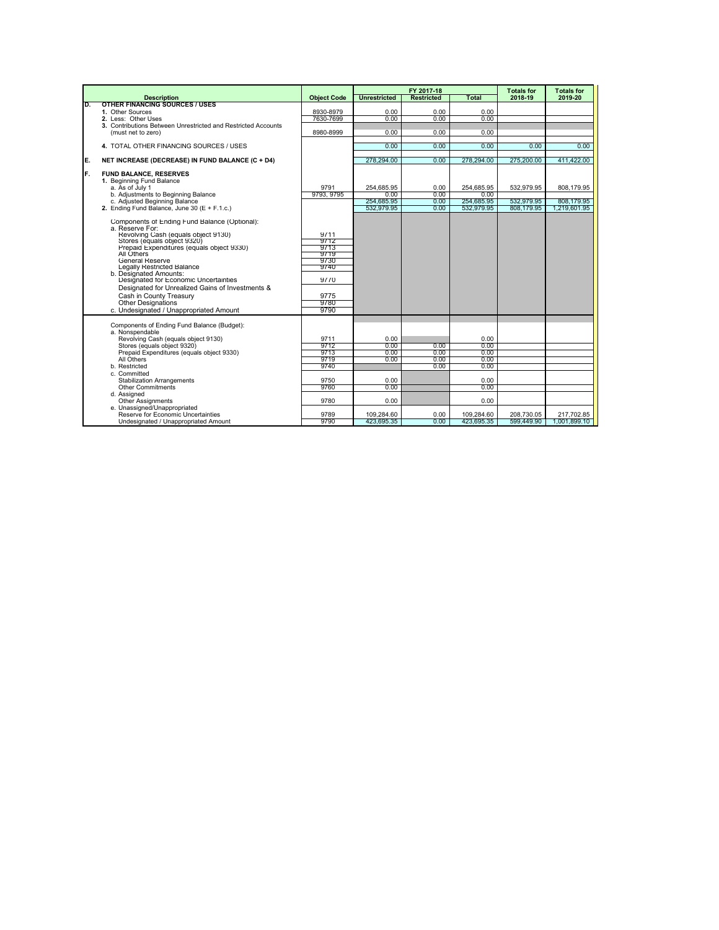|    |                                                                                                                                                                                                                                                                                                                                                                                                                                                                                     |                                                                              |                                                      | FY 2017-18                   |                                                              | <b>Totals for</b>        | <b>Totals for</b>          |
|----|-------------------------------------------------------------------------------------------------------------------------------------------------------------------------------------------------------------------------------------------------------------------------------------------------------------------------------------------------------------------------------------------------------------------------------------------------------------------------------------|------------------------------------------------------------------------------|------------------------------------------------------|------------------------------|--------------------------------------------------------------|--------------------------|----------------------------|
|    | <b>Description</b>                                                                                                                                                                                                                                                                                                                                                                                                                                                                  | <b>Object Code</b>                                                           | <b>Unrestricted</b>                                  | <b>Restricted</b>            | Total                                                        | 2018-19                  | 2019-20                    |
| D. | <b>OTHER FINANCING SOURCES / USES</b><br>1. Other Sources                                                                                                                                                                                                                                                                                                                                                                                                                           |                                                                              |                                                      |                              |                                                              |                          |                            |
|    | 2. Less: Other Uses                                                                                                                                                                                                                                                                                                                                                                                                                                                                 | 8930-8979<br>7630-7699                                                       | 0.00<br>0.00                                         | 0.00<br>0.00                 | 0.00<br>0.00                                                 |                          |                            |
|    | 3. Contributions Between Unrestricted and Restricted Accounts                                                                                                                                                                                                                                                                                                                                                                                                                       |                                                                              |                                                      |                              |                                                              |                          |                            |
|    | (must net to zero)                                                                                                                                                                                                                                                                                                                                                                                                                                                                  | 8980-8999                                                                    | 0.00                                                 | 0.00                         | 0.00                                                         |                          |                            |
|    |                                                                                                                                                                                                                                                                                                                                                                                                                                                                                     |                                                                              |                                                      |                              |                                                              |                          |                            |
|    | 4. TOTAL OTHER FINANCING SOURCES / USES                                                                                                                                                                                                                                                                                                                                                                                                                                             |                                                                              | 0.00                                                 | 0.00                         | 0.00                                                         | 0.00                     | 0.00                       |
| E. | NET INCREASE (DECREASE) IN FUND BALANCE (C + D4)                                                                                                                                                                                                                                                                                                                                                                                                                                    |                                                                              | 278.294.00                                           | 0.00                         | 278,294.00                                                   | 275.200.00               | 411.422.00                 |
| F. | <b>FUND BALANCE, RESERVES</b><br>1. Beginning Fund Balance<br>a. As of July 1                                                                                                                                                                                                                                                                                                                                                                                                       | 9791                                                                         | 254.685.95                                           | 0.00                         | 254.685.95                                                   | 532.979.95               | 808.179.95                 |
|    | b. Adiustments to Beginning Balance                                                                                                                                                                                                                                                                                                                                                                                                                                                 | 9793, 9795                                                                   | 0.00                                                 | 0.00                         | 0.00                                                         |                          |                            |
|    | c. Adjusted Beginning Balance<br>2. Ending Fund Balance, June 30 (E + F.1.c.)                                                                                                                                                                                                                                                                                                                                                                                                       |                                                                              | 254.685.95<br>532,979.95                             | 0.00<br>0.00                 | 254,685.95<br>532,979.95                                     | 532.979.95<br>808,179.95 | 808.179.95<br>1,219,601.95 |
|    | Components of Ending Fund Balance (Optional):<br>a. Reserve For:<br>Revolving Cash (equals object 9130)<br>Stores (equals object 9320)<br>Prepaid Expenditures (equals object 9330)<br>All Others<br><b>General Reserve</b><br>Legally Restricted Balance<br>b. Designated Amounts:<br>Designated for Economic Uncertainties<br>Designated for Unrealized Gains of Investments &<br>Cash in County Treasury<br><b>Other Designations</b><br>c. Undesignated / Unappropriated Amount | 9711<br>9712<br>9713<br>9719<br>9730<br>9740<br>9770<br>9775<br>9780<br>9790 |                                                      |                              |                                                              |                          |                            |
|    | Components of Ending Fund Balance (Budget):<br>a. Nonspendable<br>Revolving Cash (equals object 9130)<br>Stores (equals object 9320)<br>Prepaid Expenditures (equals object 9330)<br>All Others<br>b. Restricted<br>c. Committed<br><b>Stabilization Arrangements</b><br>Other Commitments<br>d. Assigned<br><b>Other Assignments</b><br>e. Unassigned/Unappropriated                                                                                                               | 9711<br>9712<br>9713<br>9719<br>9740<br>9750<br>9760<br>9780                 | 0.00<br>0.00<br>0.00<br>0.00<br>0.00<br>0.00<br>0.00 | 0.00<br>0.00<br>0.00<br>0.00 | 0.00<br>0.00<br>0.00<br>0.00<br>0.00<br>0.00<br>0.00<br>0.00 |                          |                            |
|    | Reserve for Economic Uncertainties                                                                                                                                                                                                                                                                                                                                                                                                                                                  | 9789<br>9790                                                                 | 109,284.60                                           | 0.00                         | 109,284.60                                                   | 208,730.05               | 217,702.85                 |
|    | Undesignated / Unappropriated Amount                                                                                                                                                                                                                                                                                                                                                                                                                                                |                                                                              | 423,695.35                                           | 0.00                         | 423,695.35                                                   | 599,449.90               | 1.001.899.10               |